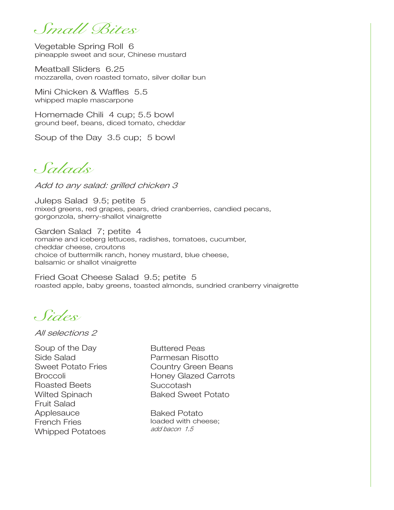*Small Bites*

Vegetable Spring Roll 6 pineapple sweet and sour, Chinese mustard

Meatball Sliders 6.25 mozzarella, oven roasted tomato, silver dollar bun

Mini Chicken & Waffles 5.5 whipped maple mascarpone

Homemade Chili 4 cup; 5.5 bowl ground beef, beans, diced tomato, cheddar

Soup of the Day 3.5 cup; 5 bowl

*Salads*

Add to any salad: grilled chicken 3

Juleps Salad 9.5; petite 5 mixed greens, red grapes, pears, dried cranberries, candied pecans, gorgonzola, sherry-shallot vinaigrette

Garden Salad 7; petite 4 romaine and iceberg lettuces, radishes, tomatoes, cucumber, cheddar cheese, croutons choice of buttermilk ranch, honey mustard, blue cheese, balsamic or shallot vinaigrette

Fried Goat Cheese Salad 9.5; petite 5 roasted apple, baby greens, toasted almonds, sundried cranberry vinaigrette

*Sides*

All selections 2

Soup of the Day Side Salad Sweet Potato Fries **Broccoli** Roasted Beets Wilted Spinach Fruit Salad **Applesauce** French Fries Whipped Potatoes

Buttered Peas Parmesan Risotto Country Green Beans Honey Glazed Carrots Succotash Baked Sweet Potato

Baked Potato loaded with cheese; add bacon 1.5